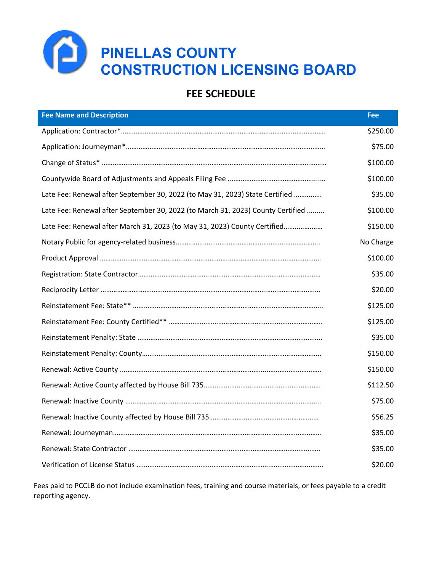

## **FEE SCHEDULE**

| <b>Fee Name and Description</b>                                                 | <b>Fee</b> |
|---------------------------------------------------------------------------------|------------|
|                                                                                 | \$250.00   |
|                                                                                 | \$75.00    |
|                                                                                 | \$100.00   |
|                                                                                 | \$100.00   |
| Late Fee: Renewal after September 30, 2022 (to May 31, 2023) State Certified    | \$35.00    |
| Late Fee: Renewal after September 30, 2022 (to March 31, 2023) County Certified | \$100.00   |
| Late Fee: Renewal after March 31, 2023 (to May 31, 2023) County Certified       | \$150.00   |
|                                                                                 | No Charge  |
|                                                                                 | \$100.00   |
|                                                                                 | \$35.00    |
|                                                                                 | \$20.00    |
|                                                                                 | \$125.00   |
|                                                                                 | \$125.00   |
|                                                                                 | \$35.00    |
|                                                                                 | \$150.00   |
|                                                                                 | \$150.00   |
|                                                                                 | \$112.50   |
|                                                                                 | \$75.00    |
|                                                                                 | \$56.25    |
|                                                                                 | \$35.00    |
|                                                                                 | \$35.00    |
|                                                                                 | \$20.00    |

Fees paid to PCCLB do not include examination fees, training and course materials, or fees payable to a credit reporting agency.